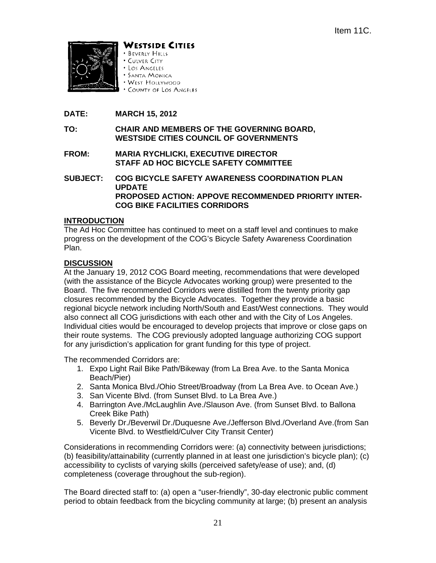

WESTSIDE CITIES

- **BEVERLY HILLS** · CULVER CITY
- · Los Angeles
- **SANTA MONICA**
- WEST HOLLYWOOD
- \* COUNTY OF LOS ANGELES
- **DATE: MARCH 15, 2012**
- **TO: CHAIR AND MEMBERS OF THE GOVERNING BOARD, WESTSIDE CITIES COUNCIL OF GOVERNMENTS**
- **FROM: MARIA RYCHLICKI, EXECUTIVE DIRECTOR STAFF AD HOC BICYCLE SAFETY COMMITTEE**
- **SUBJECT: COG BICYCLE SAFETY AWARENESS COORDINATION PLAN UPDATE PROPOSED ACTION: APPOVE RECOMMENDED PRIORITY INTER-COG BIKE FACILITIES CORRIDORS**

# **INTRODUCTION**

The Ad Hoc Committee has continued to meet on a staff level and continues to make progress on the development of the COG's Bicycle Safety Awareness Coordination Plan.

## **DISCUSSION**

At the January 19, 2012 COG Board meeting, recommendations that were developed (with the assistance of the Bicycle Advocates working group) were presented to the Board. The five recommended Corridors were distilled from the twenty priority gap closures recommended by the Bicycle Advocates. Together they provide a basic regional bicycle network including North/South and East/West connections. They would also connect all COG jurisdictions with each other and with the City of Los Angeles. Individual cities would be encouraged to develop projects that improve or close gaps on their route systems. The COG previously adopted language authorizing COG support for any jurisdiction's application for grant funding for this type of project.

The recommended Corridors are:

- 1. Expo Light Rail Bike Path/Bikeway (from La Brea Ave. to the Santa Monica Beach/Pier)
- 2. Santa Monica Blvd./Ohio Street/Broadway (from La Brea Ave. to Ocean Ave.)
- 3. San Vicente Blvd. (from Sunset Blvd. to La Brea Ave.)
- 4. Barrington Ave./McLaughlin Ave./Slauson Ave. (from Sunset Blvd. to Ballona Creek Bike Path)
- 5. Beverly Dr./Beverwil Dr./Duquesne Ave./Jefferson Blvd./Overland Ave.(from San Vicente Blvd. to Westfield/Culver City Transit Center)

Considerations in recommending Corridors were: (a) connectivity between jurisdictions; (b) feasibility/attainability (currently planned in at least one jurisdiction's bicycle plan); (c) accessibility to cyclists of varying skills (perceived safety/ease of use); and, (d) completeness (coverage throughout the sub-region).

The Board directed staff to: (a) open a "user-friendly", 30-day electronic public comment period to obtain feedback from the bicycling community at large; (b) present an analysis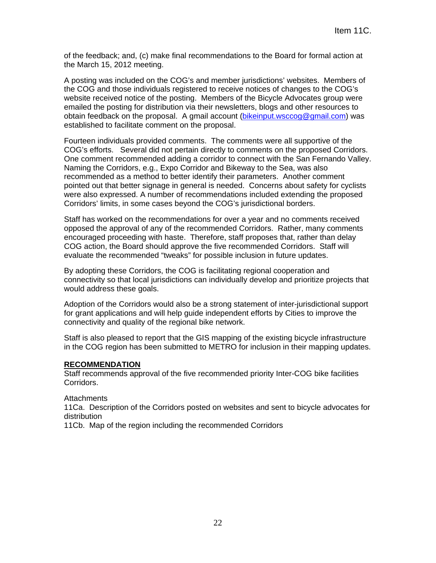of the feedback; and, (c) make final recommendations to the Board for formal action at the March 15, 2012 meeting.

A posting was included on the COG's and member jurisdictions' websites. Members of the COG and those individuals registered to receive notices of changes to the COG's website received notice of the posting. Members of the Bicycle Advocates group were emailed the posting for distribution via their newsletters, blogs and other resources to obtain feedback on the proposal. A gmail account (bikeinput.wsccog@gmail.com) was established to facilitate comment on the proposal.

Fourteen individuals provided comments. The comments were all supportive of the COG's efforts. Several did not pertain directly to comments on the proposed Corridors. One comment recommended adding a corridor to connect with the San Fernando Valley. Naming the Corridors, e.g., Expo Corridor and Bikeway to the Sea, was also recommended as a method to better identify their parameters. Another comment pointed out that better signage in general is needed. Concerns about safety for cyclists were also expressed. A number of recommendations included extending the proposed Corridors' limits, in some cases beyond the COG's jurisdictional borders.

Staff has worked on the recommendations for over a year and no comments received opposed the approval of any of the recommended Corridors. Rather, many comments encouraged proceeding with haste. Therefore, staff proposes that, rather than delay COG action, the Board should approve the five recommended Corridors. Staff will evaluate the recommended "tweaks" for possible inclusion in future updates.

By adopting these Corridors, the COG is facilitating regional cooperation and connectivity so that local jurisdictions can individually develop and prioritize projects that would address these goals.

Adoption of the Corridors would also be a strong statement of inter-jurisdictional support for grant applications and will help guide independent efforts by Cities to improve the connectivity and quality of the regional bike network.

Staff is also pleased to report that the GIS mapping of the existing bicycle infrastructure in the COG region has been submitted to METRO for inclusion in their mapping updates.

#### **RECOMMENDATION**

Staff recommends approval of the five recommended priority Inter-COG bike facilities Corridors.

#### **Attachments**

11Ca. Description of the Corridors posted on websites and sent to bicycle advocates for distribution

11Cb. Map of the region including the recommended Corridors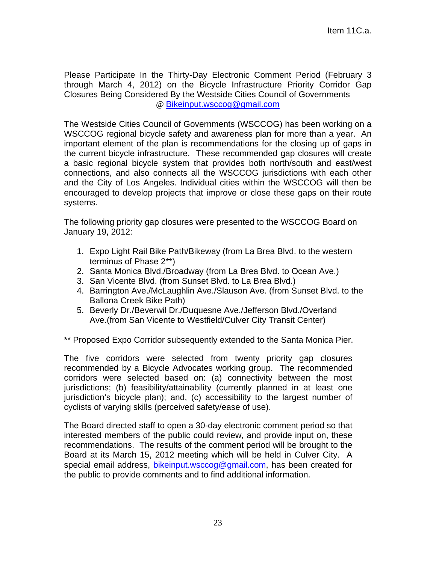Please Participate In the Thirty-Day Electronic Comment Period (February 3 through March 4, 2012) on the Bicycle Infrastructure Priority Corridor Gap Closures Being Considered By the Westside Cities Council of Governments @ Bikeinput.wsccog@gmail.com

The Westside Cities Council of Governments (WSCCOG) has been working on a WSCCOG regional bicycle safety and awareness plan for more than a year. An important element of the plan is recommendations for the closing up of gaps in the current bicycle infrastructure. These recommended gap closures will create a basic regional bicycle system that provides both north/south and east/west connections, and also connects all the WSCCOG jurisdictions with each other and the City of Los Angeles. Individual cities within the WSCCOG will then be encouraged to develop projects that improve or close these gaps on their route systems.

The following priority gap closures were presented to the WSCCOG Board on January 19, 2012:

- 1. Expo Light Rail Bike Path/Bikeway (from La Brea Blvd. to the western terminus of Phase 2\*\*)
- 2. Santa Monica Blvd./Broadway (from La Brea Blvd. to Ocean Ave.)
- 3. San Vicente Blvd. (from Sunset Blvd. to La Brea Blvd.)
- 4. Barrington Ave./McLaughlin Ave./Slauson Ave. (from Sunset Blvd. to the Ballona Creek Bike Path)
- 5. Beverly Dr./Beverwil Dr./Duquesne Ave./Jefferson Blvd./Overland Ave.(from San Vicente to Westfield/Culver City Transit Center)

\*\* Proposed Expo Corridor subsequently extended to the Santa Monica Pier.

The five corridors were selected from twenty priority gap closures recommended by a Bicycle Advocates working group. The recommended corridors were selected based on: (a) connectivity between the most jurisdictions; (b) feasibility/attainability (currently planned in at least one jurisdiction's bicycle plan); and, (c) accessibility to the largest number of cyclists of varying skills (perceived safety/ease of use).

The Board directed staff to open a 30-day electronic comment period so that interested members of the public could review, and provide input on, these recommendations. The results of the comment period will be brought to the Board at its March 15, 2012 meeting which will be held in Culver City. A special email address, bikeinput.wsccog@gmail.com, has been created for the public to provide comments and to find additional information.